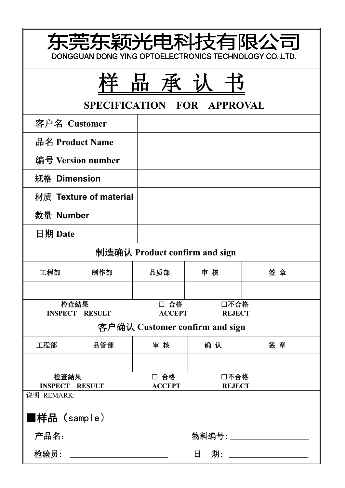|                               | 东莞东颖光电科技有限公司<br>DONGGUAN DONG YING OPTOELECTRONICS TECHNOLOGY CO., LTD. |                               |                                |    |
|-------------------------------|-------------------------------------------------------------------------|-------------------------------|--------------------------------|----|
|                               |                                                                         | 品<br>承                        | SPECIFICATION FOR APPROVAL     |    |
| 客户名 Customer                  |                                                                         |                               |                                |    |
|                               | 品名 Product Name                                                         |                               |                                |    |
|                               | 编号 Version number                                                       |                               |                                |    |
| 规格 Dimension                  |                                                                         |                               |                                |    |
|                               | 材质 Texture of material                                                  |                               |                                |    |
| 数量 Number                     |                                                                         |                               |                                |    |
| 日期 Date                       |                                                                         |                               |                                |    |
|                               |                                                                         | 制造确认 Product confirm and sign |                                |    |
| 工程部                           | 制作部                                                                     | 品质部                           | 审核                             | 签章 |
|                               |                                                                         |                               |                                |    |
|                               | 检查結果<br><b>INSPECT RESULT</b>                                           | □ 合格<br><b>ACCEPT</b>         | 口不合格<br><b>REJECT</b>          |    |
|                               |                                                                         |                               | 客户确认 Customer confirm and sign |    |
| 工程部                           | 品管部                                                                     | 审核                            | 确认                             | 签章 |
|                               |                                                                         |                               |                                |    |
| 检查結果<br><b>INSPECT RESULT</b> |                                                                         | □ 合格<br><b>ACCEPT</b>         | 口不合格<br><b>REJECT</b>          |    |
| 说明 REMARK:<br>■样品 (sample)    |                                                                         |                               |                                |    |
|                               | 产品名: ___________________                                                |                               | 物料编号: ______________           |    |
|                               | 检验员: ________________________                                           |                               | $\Box$                         |    |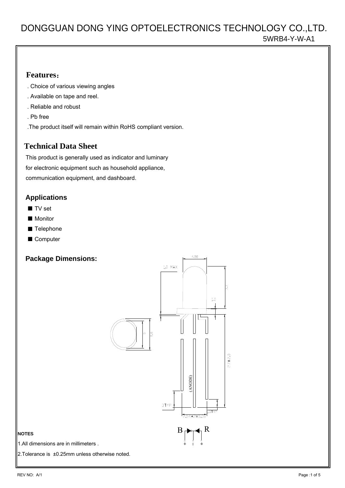### **Features**:

- . Choice of various viewing angles
- . Available on tape and reel.
- . Reliable and robust
- . Pb free
- .The product itself will remain within RoHS compliant version.

## **Technical Data Sheet**

 This product is generally used as indicator and luminary for electronic equipment such as household appliance, communication equipment, and dashboard.

### **Applications**

- TV set
- Monitor
- Telephone
- Computer

## **Package Dimensions:**



#### **NOTES**

1.All dimensions are in millimeters .

2.Tolerance is ±0.25mm unless otherwise noted.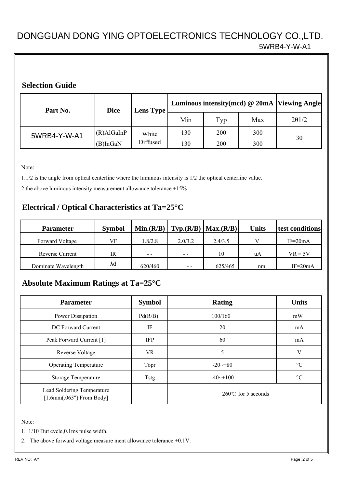### **Selection Guide**

| Part No.     | <b>Dice</b>   | <b>Lens Type</b> | Luminous intensity(mcd) @ 20mA  Viewing Angle |     |     |               |
|--------------|---------------|------------------|-----------------------------------------------|-----|-----|---------------|
|              |               |                  | Min                                           | Typ | Max | $2\theta$ 1/2 |
| 5WRB4-Y-W-A1 | $(R)$ AlGaInP | White            | 130<br>200                                    | 300 | 30  |               |
|              | $(B)$ InGaN   | Diffused         | 130                                           | 200 | 300 |               |

Note:

1.1/2 is the angle from optical centerline where the luminous intensity is 1/2 the optical centerline value.

2.the above luminous intensity measurement allowance tolerance  $\pm 15\%$ 

## **Electrical / Optical Characteristics at Ta=25°C**

| <b>Parameter</b>    | <b>Symbol</b> | Min.(R/B) |         | $\text{Typ.}(R/B)   \text{Max.}(R/B)$ | <b>Units</b> | test conditions |
|---------------------|---------------|-----------|---------|---------------------------------------|--------------|-----------------|
| Forward Voltage     | VF            | .8/2.8    | 2.0/3.2 | 2.4/3.5                               |              | $IF = 20mA$     |
| Reverse Current     | IR            | $ -$      | $ -$    | 10                                    | uA           | $VR = 5V$       |
| Dominate Wavelength | λd            | 620/460   | $ -$    | 625/465                               | nm           | $IF = 20mA$     |

# **Absolute Maximum Ratings at Ta=25°C**

| <b>Parameter</b>                                         | <b>Symbol</b> | <b>Rating</b>               | <b>Units</b>    |
|----------------------------------------------------------|---------------|-----------------------------|-----------------|
| Power Dissipation                                        | Pd(R/B)       | 100/160                     | mW              |
| DC Forward Current                                       | IF            | 20                          | mA              |
| Peak Forward Current [1]                                 | <b>IFP</b>    | 60                          | mA              |
| <b>Reverse Voltage</b>                                   | VR            | 5                           | V               |
| <b>Operating Temperature</b>                             | Topr          | $-20 \rightarrow 80$        | $\rm ^{\circ}C$ |
| Storage Temperature                                      | Tstg          | $-40 \rightarrow 100$       | $\rm ^{\circ}C$ |
| Lead Soldering Temperature<br>$[1.6mm(.063")$ From Body] |               | $260^{\circ}$ for 5 seconds |                 |

Note:

1. 1/10 Dut cycle,0.1ms pulse width.

2. The above forward voltage measure ment allowance tolerance  $\pm 0.1$ V.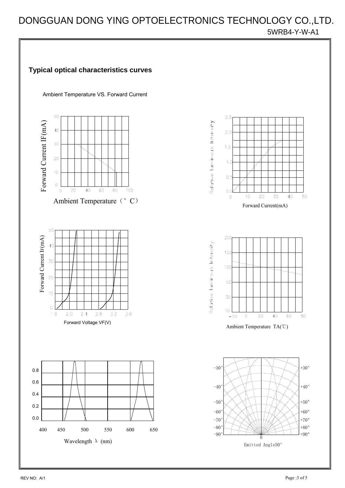

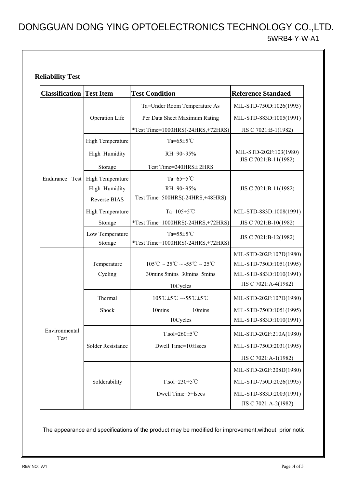### **Reliability Test**

| <b>Classification Test Item</b> |                            | <b>Test Condition</b>                                                                          | <b>Reference Standaed</b>                       |  |
|---------------------------------|----------------------------|------------------------------------------------------------------------------------------------|-------------------------------------------------|--|
|                                 |                            | Ta=Under Room Temperature As                                                                   | MIL-STD-750D:1026(1995)                         |  |
|                                 | Operation Life             | Per Data Sheet Maximum Rating                                                                  | MIL-STD-883D:1005(1991)                         |  |
|                                 |                            | *Test Time=1000HRS(-24HRS,+72HRS)                                                              | JIS C 7021:B-1(1982)                            |  |
|                                 | High Temperature           | Ta= $65 \pm 5$ °C                                                                              |                                                 |  |
|                                 | High Humidity              | RH=90~95%                                                                                      | MIL-STD-202F:103(1980)<br>JIS C 7021:B-11(1982) |  |
|                                 | Storage                    | Test Time=240HRS± 2HRS                                                                         |                                                 |  |
| Endurance Test                  | High Temperature           | Ta= $65 \pm 5$ °C                                                                              |                                                 |  |
|                                 | High Humidity              | RH=90~95%                                                                                      | JIS C 7021:B-11(1982)                           |  |
|                                 | Reverse BIAS               | Test Time=500HRS(-24HRS,+48HRS)                                                                |                                                 |  |
|                                 | High Temperature           | Ta= $105 \pm 5$ °C                                                                             | MIL-STD-883D:1008(1991)                         |  |
|                                 | Storage                    | *Test Time=1000HRS(-24HRS,+72HRS)                                                              | JIS C 7021:B-10(1982)                           |  |
|                                 | Low Temperature<br>Storage | Ta= $55 \pm 5$ °C<br>*Test Time=1000HRS(-24HRS,+72HRS)                                         | JIS C 7021:B-12(1982)                           |  |
|                                 |                            |                                                                                                | MIL-STD-202F:107D(1980)                         |  |
|                                 | Temperature                | $105^{\circ}\text{C} \sim 25^{\circ}\text{C} \sim -55^{\circ}\text{C} \sim 25^{\circ}\text{C}$ | MIL-STD-750D:1051(1995)                         |  |
|                                 | Cycling                    | 30mins 5mins 30mins 5mins                                                                      | MIL-STD-883D:1010(1991)                         |  |
|                                 |                            | 10Cycles                                                                                       | JIS C 7021:A-4(1982)                            |  |
|                                 | Thermal                    | $105^{\circ}\text{C} \pm 5^{\circ}\text{C} \sim 55^{\circ}\text{C} \pm 5^{\circ}\text{C}$      | MIL-STD-202F:107D(1980)                         |  |
|                                 | Shock                      | 10mins<br>10mins                                                                               | MIL-STD-750D:1051(1995)                         |  |
|                                 |                            | 10Cycles                                                                                       | MIL-STD-883D:1010(1991)                         |  |
| Environmental<br>Test           |                            | $T_{.}sol=260\pm5\degree\text{C}$                                                              | MIL-STD-202F:210A(1980)                         |  |
|                                 | Solder Resistance          | Dwell Time=10±lsecs                                                                            | MIL-STD-750D:2031(1995)                         |  |
|                                 |                            |                                                                                                | JIS C 7021:A-1(1982)                            |  |
|                                 |                            |                                                                                                | MIL-STD-202F:208D(1980)                         |  |
|                                 | Solderability              | $T_{.}sol=230\pm5\degree\text{C}$                                                              | MIL-STD-750D:2026(1995)                         |  |
|                                 |                            | Dwell Time=5±lsecs                                                                             | MIL-STD-883D:2003(1991)<br>JIS C 7021:A-2(1982) |  |

The appearance and specifications of the product may be modified for improvement,without prior notic